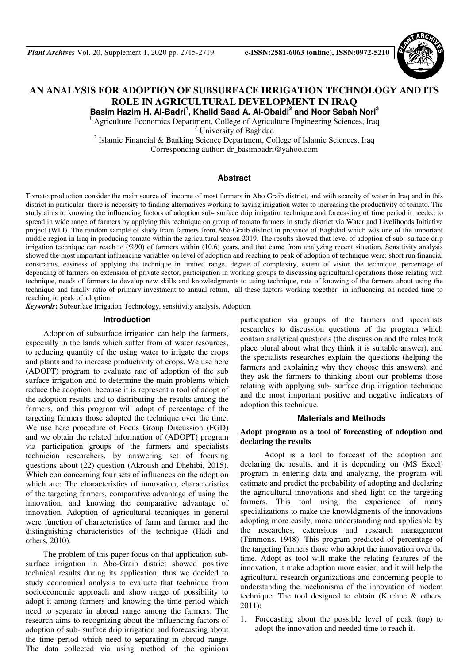

# **AN ANALYSIS FOR ADOPTION OF SUBSURFACE IRRIGATION TECHNOLOGY AND ITS ROLE IN AGRICULTURAL DEVELOPMENT IN IRAQ**

**Basim Hazim H. Al-Badri<sup>1</sup> , Khalid Saad A. Al-Obaidi<sup>2</sup> and Noor Sabah Nori<sup>3</sup>** 1

Agriculture Economics Department, College of Agriculture Engineering Sciences, Iraq

2 University of Baghdad

<sup>3</sup> Islamic Financial & Banking Science Department, College of Islamic Sciences, Iraq Corresponding author: dr\_basimbadri@yahoo.com

## **Abstract**

Tomato production consider the main source of income of most farmers in Abo Graib district, and with scarcity of water in Iraq and in this district in particular there is necessity to finding alternatives working to saving irrigation water to increasing the productivity of tomato. The study aims to knowing the influencing factors of adoption sub- surface drip irrigation technique and forecasting of time period it needed to spread in wide range of farmers by applying this technique on group of tomato farmers in study district via Water and Livelihoods Initiative project (WLI). The random sample of study from farmers from Abo-Graib district in province of Baghdad which was one of the important middle region in Iraq in producing tomato within the agricultural season 2019. The results showed that level of adoption of sub- surface drip irrigation technique can reach to (%90) of farmers within (10.6) years, and that came from analyzing recent situation. Sensitivity analysis showed the most important influencing variables on level of adoption and reaching to peak of adoption of technique were: short run financial constraints, easiness of applying the technique in limited range, degree of complexity, extent of vision the technique, percentage of depending of farmers on extension of private sector, participation in working groups to discussing agricultural operations those relating with technique, needs of farmers to develop new skills and knowledgments to using technique, rate of knowing of the farmers about using the technique and finally ratio of primary investment to annual return, all these factors working together in influencing on needed time to reaching to peak of adoption.

*Keywords***:** Subsurface Irrigation Technology, sensitivity analysis, Adoption.

#### **Introduction**

Adoption of subsurface irrigation can help the farmers, especially in the lands which suffer from of water resources, to reducing quantity of the using water to irrigate the crops and plants and to increase productivity of crops. We use here (ADOPT) program to evaluate rate of adoption of the sub surface irrigation and to determine the main problems which reduce the adoption, because it is represent a tool of adopt of the adoption results and to distributing the results among the farmers, and this program will adopt of percentage of the targeting farmers those adopted the technique over the time. We use here procedure of Focus Group Discussion (FGD) and we obtain the related information of (ADOPT) program via participation groups of the farmers and specialists technician researchers, by answering set of focusing questions about (22) question (Akroush and Dhehibi, 2015). Which con concerning four sets of influences on the adoption which are: The characteristics of innovation, characteristics of the targeting farmers, comparative advantage of using the innovation, and knowing the comparative advantage of innovation. Adoption of agricultural techniques in general were function of characteristics of farm and farmer and the distinguishing characteristics of the technique (Hadi and others, 2010).

The problem of this paper focus on that application subsurface irrigation in Abo-Graib district showed positive technical results during its application, thus we decided to study economical analysis to evaluate that technique from socioeconomic approach and show range of possibility to adopt it among farmers and knowing the time period which need to separate in abroad range among the farmers. The research aims to recognizing about the influencing factors of adoption of sub- surface drip irrigation and forecasting about the time period which need to separating in abroad range. The data collected via using method of the opinions participation via groups of the farmers and specialists researches to discussion questions of the program which contain analytical questions (the discussion and the rules took place plural about what they think it is suitable answer), and the specialists researches explain the questions (helping the farmers and explaining why they choose this answers), and they ask the farmers to thinking about our problems those relating with applying sub- surface drip irrigation technique and the most important positive and negative indicators of adoption this technique.

#### **Materials and Methods**

# **Adopt program as a tool of forecasting of adoption and declaring the results**

 Adopt is a tool to forecast of the adoption and declaring the results, and it is depending on (MS Excel) program in entering data and analyzing, the program will estimate and predict the probability of adopting and declaring the agricultural innovations and shed light on the targeting farmers. This tool using the experience of many specializations to make the knowldgments of the innovations adopting more easily, more understanding and applicable by the researches, extensions and research management (Timmons. 1948). This program predicted of percentage of the targeting farmers those who adopt the innovation over the time. Adopt as tool will make the relating features of the innovation, it make adoption more easier, and it will help the agricultural research organizations and concerning people to understanding the mechanisms of the innovation of modern technique. The tool designed to obtain (Kuehne & others, 2011):

1. Forecasting about the possible level of peak (top) to adopt the innovation and needed time to reach it.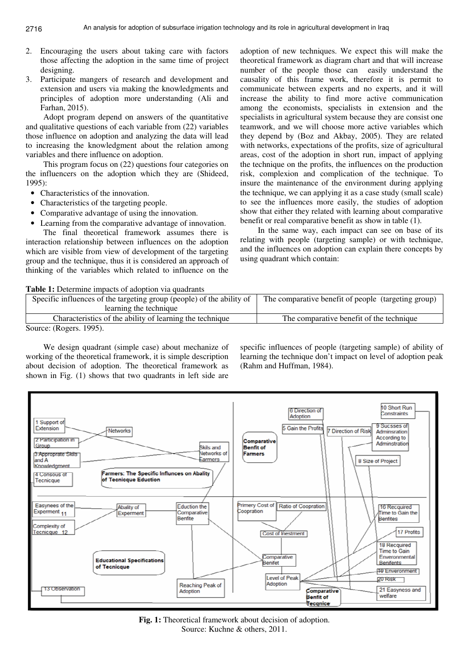- 2. Encouraging the users about taking care with factors those affecting the adoption in the same time of project designing.
- 3. Participate mangers of research and development and extension and users via making the knowledgments and principles of adoption more understanding (Ali and Farhan, 2015).

Adopt program depend on answers of the quantitative and qualitative questions of each variable from (22) variables those influence on adoption and analyzing the data will lead to increasing the knowledgment about the relation among variables and there influence on adoption.

This program focus on (22) questions four categories on the influencers on the adoption which they are (Shideed, 1995):

- Characteristics of the innovation.
- Characteristics of the targeting people.
- Comparative advantage of using the innovation.
- Learning from the comparative advantage of innovation.

The final theoretical framework assumes there is interaction relationship between influences on the adoption which are visible from view of development of the targeting group and the technique, thus it is considered an approach of thinking of the variables which related to influence on the

adoption of new techniques. We expect this will make the theoretical framework as diagram chart and that will increase number of the people those can easily understand the causality of this frame work, therefore it is permit to communicate between experts and no experts, and it will increase the ability to find more active communication among the economists, specialists in extension and the specialists in agricultural system because they are consist one teamwork, and we will choose more active variables which they depend by (Boz and Akbay, 2005). They are related with networks, expectations of the profits, size of agricultural areas, cost of the adoption in short run, impact of applying the technique on the profits, the influences on the production risk, complexion and complication of the technique. To insure the maintenance of the environment during applying the technique, we can applying it as a case study (small scale) to see the influences more easily, the studies of adoption show that either they related with learning about comparative benefit or real comparative benefit as show in table (1).

In the same way, each impact can see on base of its relating with people (targeting sample) or with technique, and the influences on adoption can explain there concepts by using quadrant which contain:

#### **Table 1:** Determine impacts of adoption via quadrants

| Specific influences of the targeting group (people) of the ability of | The comparative benefit of people (targeting group) |
|-----------------------------------------------------------------------|-----------------------------------------------------|
| learning the technique                                                |                                                     |
| Characteristics of the ability of learning the technique              | The comparative benefit of the technique            |
| $\text{Source}(\text{Poore 1005})$                                    |                                                     |

Source: (Rogers. 1995).

We design quadrant (simple case) about mechanize of working of the theoretical framework, it is simple description about decision of adoption. The theoretical framework as shown in Fig. (1) shows that two quadrants in left side are

specific influences of people (targeting sample) of ability of learning the technique don't impact on level of adoption peak (Rahm and Huffman, 1984).



**Fig. 1:** Theoretical framework about decision of adoption. Source: Kuchne & others, 2011.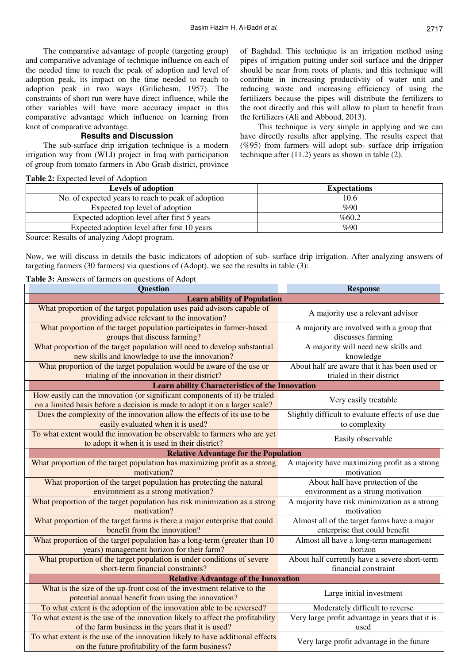The comparative advantage of people (targeting group) and comparative advantage of technique influence on each of the needed time to reach the peak of adoption and level of adoption peak, its impact on the time needed to reach to adoption peak in two ways (Grilichesm, 1957). The constraints of short run were have direct influence, while the other variables will have more accuracy impact in this comparative advantage which influence on learning from knot of comparative advantage.

# **Results and Discussion**

The sub-surface drip irrigation technique is a modern irrigation way from (WLI) project in Iraq with participation of group from tomato farmers in Abo Graib district, province

of Baghdad. This technique is an irrigation method using pipes of irrigation putting under soil surface and the dripper should be near from roots of plants, and this technique will contribute in increasing productivity of water unit and reducing waste and increasing efficiency of using the fertilizers because the pipes will distribute the fertilizers to the root directly and this will allow to plant to benefit from the fertilizers (Ali and Abboud, 2013).

This technique is very simple in applying and we can have directly results after applying. The results expect that (%95) from farmers will adopt sub- surface drip irrigation technique after (11.2) years as shown in table (2).

**Table 2:** Expected level of Adoption

| <b>Levels of adoption</b>                          | <b>Expectations</b> |
|----------------------------------------------------|---------------------|
| No. of expected years to reach to peak of adoption | 10.6                |
| Expected top level of adoption                     | %90                 |
| Expected adoption level after first 5 years        | %60.2               |
| Expected adoption level after first 10 years       | %90                 |
| $\sim$                                             |                     |

Source: Results of analyzing Adopt program.

Now, we will discuss in details the basic indicators of adoption of sub- surface drip irrigation. After analyzing answers of targeting farmers (30 farmers) via questions of (Adopt), we see the results in table (3):

# **Table 3:** Answers of farmers on questions of Adopt

| <b>Question</b>                                                                                                                    | <b>Response</b>                                             |  |  |  |  |
|------------------------------------------------------------------------------------------------------------------------------------|-------------------------------------------------------------|--|--|--|--|
| <b>Learn ability of Population</b>                                                                                                 |                                                             |  |  |  |  |
| What proportion of the target population uses paid advisors capable of<br>providing advice relevant to the innovation?             | A majority use a relevant advisor                           |  |  |  |  |
| What proportion of the target population participates in farmer-based                                                              | A majority are involved with a group that                   |  |  |  |  |
| groups that discuss farming?                                                                                                       | discusses farming                                           |  |  |  |  |
| What proportion of the target population will need to develop substantial<br>new skills and knowledge to use the innovation?       | A majority will need new skills and<br>knowledge            |  |  |  |  |
| What proportion of the target population would be aware of the use or                                                              | About half are aware that it has been used or               |  |  |  |  |
| trialing of the innovation in their district?<br>trialed in their district                                                         |                                                             |  |  |  |  |
| <b>Learn ability Characteristics of the Innovation</b>                                                                             |                                                             |  |  |  |  |
| How easily can the innovation (or significant components of it) be trialed                                                         |                                                             |  |  |  |  |
| on a limited basis before a decision is made to adopt it on a larger scale?                                                        | Very easily treatable                                       |  |  |  |  |
| Does the complexity of the innovation allow the effects of its use to be                                                           | Slightly difficult to evaluate effects of use due           |  |  |  |  |
| easily evaluated when it is used?                                                                                                  | to complexity                                               |  |  |  |  |
| To what extent would the innovation be observable to farmers who are yet                                                           | Easily observable                                           |  |  |  |  |
| to adopt it when it is used in their district?                                                                                     |                                                             |  |  |  |  |
| <b>Relative Advantage for the Population</b>                                                                                       |                                                             |  |  |  |  |
| What proportion of the target population has maximizing profit as a strong                                                         | A majority have maximizing profit as a strong               |  |  |  |  |
| motivation?                                                                                                                        | motivation                                                  |  |  |  |  |
| What proportion of the target population has protecting the natural                                                                | About half have protection of the                           |  |  |  |  |
| environment as a strong motivation?                                                                                                | environment as a strong motivation                          |  |  |  |  |
| What proportion of the target population has risk minimization as a strong<br>motivation?                                          | A majority have risk minimization as a strong<br>motivation |  |  |  |  |
| What proportion of the target farms is there a major enterprise that could                                                         | Almost all of the target farms have a major                 |  |  |  |  |
| benefit from the innovation?                                                                                                       | enterprise that could benefit                               |  |  |  |  |
| What proportion of the target population has a long-term (greater than 10                                                          | Almost all have a long-term management                      |  |  |  |  |
| years) management horizon for their farm?                                                                                          | horizon                                                     |  |  |  |  |
| What proportion of the target population is under conditions of severe                                                             | About half currently have a severe short-term               |  |  |  |  |
| short-term financial constraints?<br>financial constraint                                                                          |                                                             |  |  |  |  |
| <b>Relative Advantage of the Innovation</b>                                                                                        |                                                             |  |  |  |  |
| What is the size of the up-front cost of the investment relative to the                                                            | Large initial investment                                    |  |  |  |  |
| potential annual benefit from using the innovation?                                                                                |                                                             |  |  |  |  |
| To what extent is the adoption of the innovation able to be reversed?                                                              | Moderately difficult to reverse                             |  |  |  |  |
| To what extent is the use of the innovation likely to affect the profitability                                                     | Very large profit advantage in years that it is             |  |  |  |  |
| of the farm business in the years that it is used?                                                                                 | used                                                        |  |  |  |  |
| To what extent is the use of the innovation likely to have additional effects<br>on the future profitability of the farm business? | Very large profit advantage in the future                   |  |  |  |  |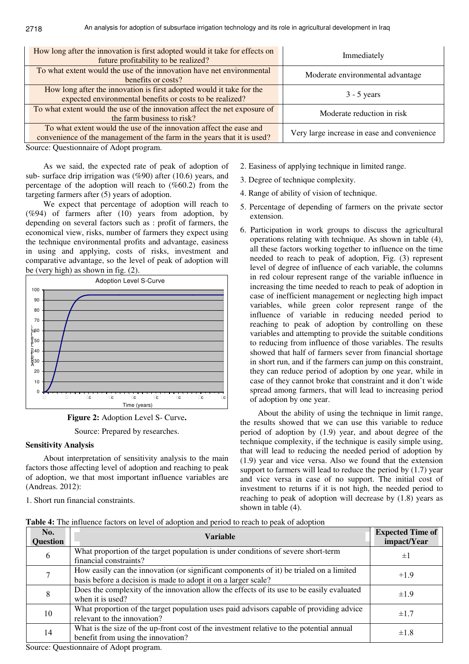| How long after the innovation is first adopted would it take for effects on                                                                   | Immediately                                 |  |
|-----------------------------------------------------------------------------------------------------------------------------------------------|---------------------------------------------|--|
| future profitability to be realized?                                                                                                          |                                             |  |
| To what extent would the use of the innovation have net environmental<br>benefits or costs?                                                   | Moderate environmental advantage            |  |
| How long after the innovation is first adopted would it take for the                                                                          | $3 - 5$ years                               |  |
| expected environmental benefits or costs to be realized?                                                                                      |                                             |  |
| To what extent would the use of the innovation affect the net exposure of                                                                     | Moderate reduction in risk                  |  |
| the farm business to risk?                                                                                                                    |                                             |  |
| To what extent would the use of the innovation affect the ease and<br>convenience of the management of the farm in the years that it is used? | Very large increase in ease and convenience |  |
|                                                                                                                                               |                                             |  |

Source: Questionnaire of Adopt program.

As we said, the expected rate of peak of adoption of sub- surface drip irrigation was (%90) after (10.6) years, and percentage of the adoption will reach to  $(\%60.2)$  from the targeting farmers after (5) years of adoption.

We expect that percentage of adoption will reach to (%94) of farmers after (10) years from adoption, by depending on several factors such as : profit of farmers, the economical view, risks, number of farmers they expect using the technique environmental profits and advantage, easiness in using and applying, costs of risks, investment and comparative advantage, so the level of peak of adoption will be (very high) as shown in fig. (2).





Source: Prepared by researches.

## **Sensitivity Analysis**

About interpretation of sensitivity analysis to the main factors those affecting level of adoption and reaching to peak of adoption, we that most important influence variables are (Andreas. 2012):

1. Short run financial constraints.

- 2. Easiness of applying technique in limited range.
- 3. Degree of technique complexity.
- 4. Range of ability of vision of technique.
- 5. Percentage of depending of farmers on the private sector extension.
- 6. Participation in work groups to discuss the agricultural operations relating with technique. As shown in table (4), all these factors working together to influence on the time needed to reach to peak of adoption, Fig. (3) represent level of degree of influence of each variable, the columns in red colour represent range of the variable influence in increasing the time needed to reach to peak of adoption in case of inefficient management or neglecting high impact variables, while green color represent range of the influence of variable in reducing needed period to reaching to peak of adoption by controlling on these variables and attempting to provide the suitable conditions to reducing from influence of those variables. The results showed that half of farmers sever from financial shortage in short run, and if the farmers can jump on this constraint, they can reduce period of adoption by one year, while in case of they cannot broke that constraint and it don't wide spread among farmers, that will lead to increasing period of adoption by one year.

About the ability of using the technique in limit range, the results showed that we can use this variable to reduce period of adoption by (1.9) year, and about degree of the technique complexity, if the technique is easily simple using, that will lead to reducing the needed period of adoption by (1.9) year and vice versa. Also we found that the extension support to farmers will lead to reduce the period by (1.7) year and vice versa in case of no support. The initial cost of investment to returns if it is not high, the needed period to reaching to peak of adoption will decrease by (1.8) years as shown in table (4).

|--|

| No.<br><b>Question</b> | Variable                                                                                                                                                  | <b>Expected Time of</b><br>impact/Year |
|------------------------|-----------------------------------------------------------------------------------------------------------------------------------------------------------|----------------------------------------|
| 6                      | What proportion of the target population is under conditions of severe short-term<br>financial constraints?                                               | $\pm 1$                                |
|                        | How easily can the innovation (or significant components of it) be trialed on a limited<br>basis before a decision is made to adopt it on a larger scale? | $+1.9$                                 |
| 8                      | Does the complexity of the innovation allow the effects of its use to be easily evaluated<br>when it is used?                                             | $\pm 1.9$                              |
| 10                     | What proportion of the target population uses paid advisors capable of providing advice<br>relevant to the innovation?                                    | $\pm 1.7$                              |
| 14                     | What is the size of the up-front cost of the investment relative to the potential annual<br>benefit from using the innovation?                            | $\pm 1.8$                              |

Source: Questionnaire of Adopt program.